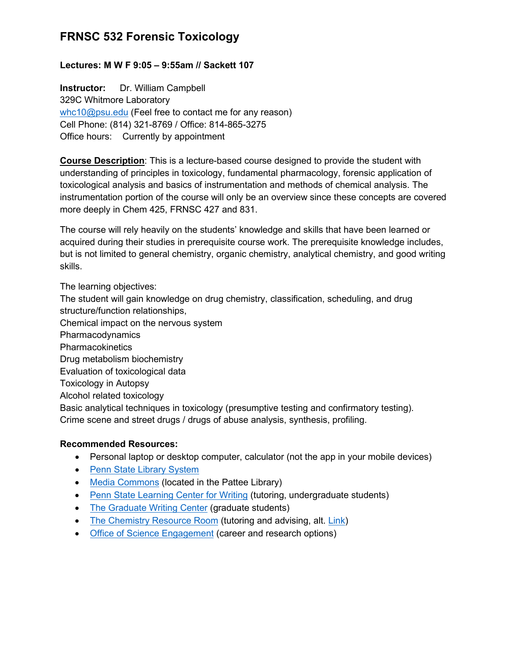## **Lectures: M W F 9:05 – 9:55am // Sackett 107**

**Instructor:** Dr. William Campbell 329C Whitmore Laboratory [whc10@psu.edu](mailto:whc10@psu.edu) (Feel free to contact me for any reason) Cell Phone: (814) 321-8769 / Office: 814-865-3275 Office hours: Currently by appointment

**Course Description**: This is a lecture-based course designed to provide the student with understanding of principles in toxicology, fundamental pharmacology, forensic application of toxicological analysis and basics of instrumentation and methods of chemical analysis. The instrumentation portion of the course will only be an overview since these concepts are covered more deeply in Chem 425, FRNSC 427 and 831.

The course will rely heavily on the students' knowledge and skills that have been learned or acquired during their studies in prerequisite course work. The prerequisite knowledge includes, but is not limited to general chemistry, organic chemistry, analytical chemistry, and good writing skills.

The learning objectives:

The student will gain knowledge on drug chemistry, classification, scheduling, and drug structure/function relationships,

Chemical impact on the nervous system

Pharmacodynamics

**Pharmacokinetics** 

Drug metabolism biochemistry

Evaluation of toxicological data

Toxicology in Autopsy

Alcohol related toxicology

Basic analytical techniques in toxicology (presumptive testing and confirmatory testing). Crime scene and street drugs / drugs of abuse analysis, synthesis, profiling.

#### **Recommended Resources:**

- Personal laptop or desktop computer, calculator (not the app in your mobile devices)
- [Penn State Library System](https://libraries.psu.edu/)
- [Media Commons](https://mediacommons.psu.edu/locations/university-park/knowledge-commons/) (located in the Pattee Library)
- [Penn State Learning Center for Writing](https://pennstatelearning.psu.edu/tutoring/writing) (tutoring, undergraduate students)
- [The Graduate Writing Center](http://pwr.la.psu.edu/resources/graduate-writing-center/GWC) (graduate students)
- [The Chemistry Resource Room](http://chem.psu.edu/undergrad/advising-and-tutoring) (tutoring and advising, alt. [Link\)](http://science.psu.edu/current-students/support-network/learning-support)
- [Office of Science Engagement](http://scienceengagement.psu.edu/) (career and research options)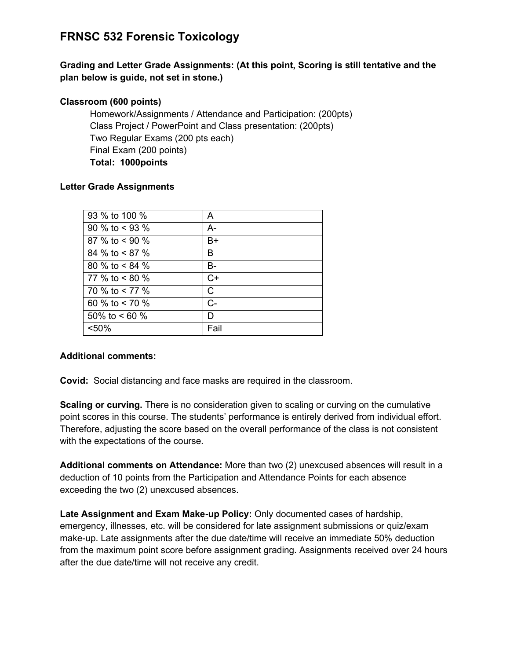## **Grading and Letter Grade Assignments: (At this point, Scoring is still tentative and the plan below is guide, not set in stone.)**

## **Classroom (600 points)**

Homework/Assignments / Attendance and Participation: (200pts) Class Project / PowerPoint and Class presentation: (200pts) Two Regular Exams (200 pts each) Final Exam (200 points) **Total: 1000points**

#### **Letter Grade Assignments**

| 93 % to 100 %    | A            |
|------------------|--------------|
| 90 % to $<$ 93 % | $A-$         |
| 87 % to $< 90$ % | B+           |
| 84 % to < 87 %   | в            |
| 80 % to < 84 %   | <b>B-</b>    |
| 77 % to $< 80$ % | $C+$         |
| 70 % to $< 77$ % | $\mathsf{C}$ |
| 60 % to $<$ 70 % | $C -$        |
| 50% to $< 60$ %  | D            |
| < 50%            | Fail         |
|                  |              |

#### **Additional comments:**

**Covid:** Social distancing and face masks are required in the classroom.

**Scaling or curving.** There is no consideration given to scaling or curving on the cumulative point scores in this course. The students' performance is entirely derived from individual effort. Therefore, adjusting the score based on the overall performance of the class is not consistent with the expectations of the course.

**Additional comments on Attendance:** More than two (2) unexcused absences will result in a deduction of 10 points from the Participation and Attendance Points for each absence exceeding the two (2) unexcused absences.

**Late Assignment and Exam Make-up Policy:** Only documented cases of hardship, emergency, illnesses, etc. will be considered for late assignment submissions or quiz/exam make-up. Late assignments after the due date/time will receive an immediate 50% deduction from the maximum point score before assignment grading. Assignments received over 24 hours after the due date/time will not receive any credit.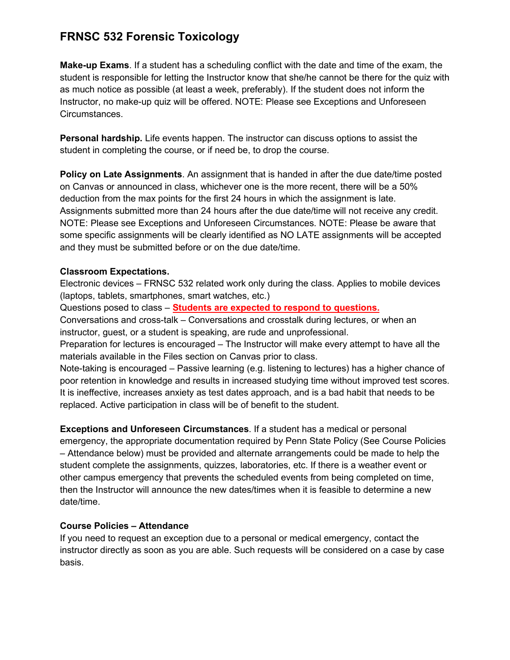**Make-up Exams**. If a student has a scheduling conflict with the date and time of the exam, the student is responsible for letting the Instructor know that she/he cannot be there for the quiz with as much notice as possible (at least a week, preferably). If the student does not inform the Instructor, no make-up quiz will be offered. NOTE: Please see Exceptions and Unforeseen Circumstances.

**Personal hardship.** Life events happen. The instructor can discuss options to assist the student in completing the course, or if need be, to drop the course.

**Policy on Late Assignments**. An assignment that is handed in after the due date/time posted on Canvas or announced in class, whichever one is the more recent, there will be a 50% deduction from the max points for the first 24 hours in which the assignment is late. Assignments submitted more than 24 hours after the due date/time will not receive any credit. NOTE: Please see Exceptions and Unforeseen Circumstances. NOTE: Please be aware that some specific assignments will be clearly identified as NO LATE assignments will be accepted and they must be submitted before or on the due date/time.

#### **Classroom Expectations.**

Electronic devices – FRNSC 532 related work only during the class. Applies to mobile devices (laptops, tablets, smartphones, smart watches, etc.)

Questions posed to class – **Students are expected to respond to questions.**

Conversations and cross-talk – Conversations and crosstalk during lectures, or when an instructor, guest, or a student is speaking, are rude and unprofessional.

Preparation for lectures is encouraged – The Instructor will make every attempt to have all the materials available in the Files section on Canvas prior to class.

Note-taking is encouraged – Passive learning (e.g. listening to lectures) has a higher chance of poor retention in knowledge and results in increased studying time without improved test scores. It is ineffective, increases anxiety as test dates approach, and is a bad habit that needs to be replaced. Active participation in class will be of benefit to the student.

**Exceptions and Unforeseen Circumstances**. If a student has a medical or personal emergency, the appropriate documentation required by Penn State Policy (See Course Policies – Attendance below) must be provided and alternate arrangements could be made to help the student complete the assignments, quizzes, laboratories, etc. If there is a weather event or other campus emergency that prevents the scheduled events from being completed on time, then the Instructor will announce the new dates/times when it is feasible to determine a new date/time.

#### **Course Policies – Attendance**

If you need to request an exception due to a personal or medical emergency, contact the instructor directly as soon as you are able. Such requests will be considered on a case by case basis.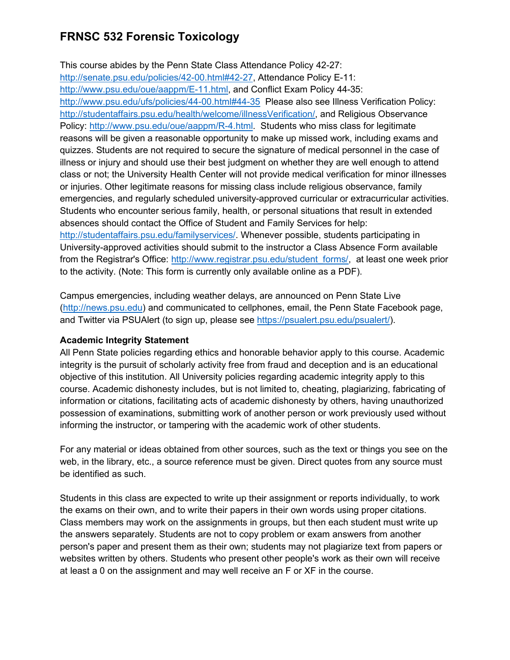This course abides by the Penn State Class Attendance Policy 42-27: [http://senate.psu.edu/policies/42-00.html#42-27,](http://senate.psu.edu/policies/42-00.html#42-27) Attendance Policy E-11: [http://www.psu.edu/oue/aappm/E-11.html,](http://www.psu.edu/oue/aappm/E-11.html) and Conflict Exam Policy 44-35: <http://www.psu.edu/ufs/policies/44-00.html#44-35>Please also see Illness Verification Policy: [http://studentaffairs.psu.edu/health/welcome/illnessVerification/,](http://studentaffairs.psu.edu/health/welcome/illnessVerification/) and Religious Observance Policy: [http://www.psu.edu/oue/aappm/R-4.html.](http://www.psu.edu/oue/aappm/R-4.html) Students who miss class for legitimate reasons will be given a reasonable opportunity to make up missed work, including exams and quizzes. Students are not required to secure the signature of medical personnel in the case of illness or injury and should use their best judgment on whether they are well enough to attend class or not; the University Health Center will not provide medical verification for minor illnesses or injuries. Other legitimate reasons for missing class include religious observance, family emergencies, and regularly scheduled university-approved curricular or extracurricular activities. Students who encounter serious family, health, or personal situations that result in extended absences should contact the Office of Student and Family Services for help: [http://studentaffairs.psu.edu/familyservices/.](http://studentaffairs.psu.edu/familyservices/) Whenever possible, students participating in University-approved activities should submit to the instructor a Class Absence Form available from the Registrar's Office: [http://www.registrar.psu.edu/student\\_forms/,](http://www.registrar.psu.edu/student_forms/) at least one week prior to the activity. (Note: This form is currently only available online as a PDF).

Campus emergencies, including weather delays, are announced on Penn State Live [\(http://news.psu.edu\)](http://news.psu.edu/) and communicated to cellphones, email, the Penn State Facebook page, and Twitter via PSUAlert (to sign up, please see [https://psualert.psu.edu/psualert/\)](https://psualert.psu.edu/psualert/).

## **Academic Integrity Statement**

All Penn State policies regarding ethics and honorable behavior apply to this course. Academic integrity is the pursuit of scholarly activity free from fraud and deception and is an educational objective of this institution. All University policies regarding academic integrity apply to this course. Academic dishonesty includes, but is not limited to, cheating, plagiarizing, fabricating of information or citations, facilitating acts of academic dishonesty by others, having unauthorized possession of examinations, submitting work of another person or work previously used without informing the instructor, or tampering with the academic work of other students.

For any material or ideas obtained from other sources, such as the text or things you see on the web, in the library, etc., a source reference must be given. Direct quotes from any source must be identified as such.

Students in this class are expected to write up their assignment or reports individually, to work the exams on their own, and to write their papers in their own words using proper citations. Class members may work on the assignments in groups, but then each student must write up the answers separately. Students are not to copy problem or exam answers from another person's paper and present them as their own; students may not plagiarize text from papers or websites written by others. Students who present other people's work as their own will receive at least a 0 on the assignment and may well receive an F or XF in the course.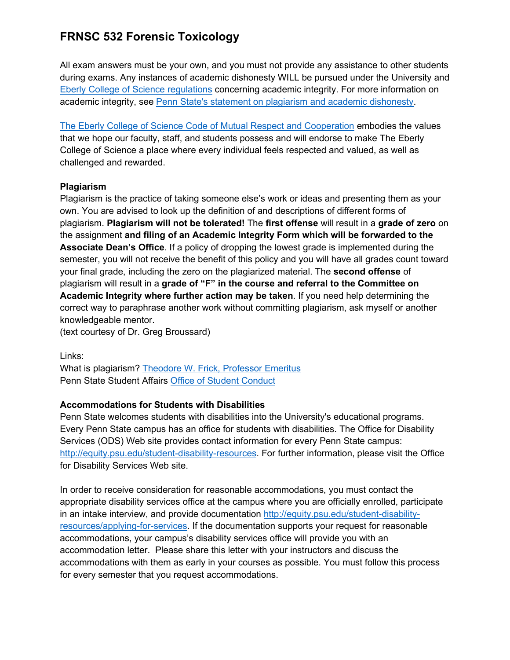All exam answers must be your own, and you must not provide any assistance to other students during exams. Any instances of academic dishonesty WILL be pursued under the University and [Eberly College of Science regulations](http://www.science.psu.edu/academic/Integrity/index.html) concerning academic integrity. For more information on academic integrity, see [Penn State's statement on plagiarism and academic dishonesty.](http://tlt.its.psu.edu/suggestions/cyberplag/cyberplagstudent.html)

[The Eberly College of Science Code of Mutual Respect and Cooperation](http://science.psu.edu/climate/code-of-mutual-respect-and-cooperation/Code-of-Mutual-Respect%20final.pdf/view) embodies the values that we hope our faculty, staff, and students possess and will endorse to make The Eberly College of Science a place where every individual feels respected and valued, as well as challenged and rewarded.

## **Plagiarism**

Plagiarism is the practice of taking someone else's work or ideas and presenting them as your own. You are advised to look up the definition of and descriptions of different forms of plagiarism. **Plagiarism will not be tolerated!** The **first offense** will result in a **grade of zero** on the assignment **and filing of an Academic Integrity Form which will be forwarded to the Associate Dean's Office**. If a policy of dropping the lowest grade is implemented during the semester, you will not receive the benefit of this policy and you will have all grades count toward your final grade, including the zero on the plagiarized material. The **second offense** of plagiarism will result in a **grade of "F" in the course and referral to the Committee on Academic Integrity where further action may be taken**. If you need help determining the correct way to paraphrase another work without committing plagiarism, ask myself or another knowledgeable mentor.

(text courtesy of Dr. Greg Broussard)

Links:

What is plagiarism? [Theodore W. Frick, Professor Emeritus](https://www.indiana.edu/%7Etedfrick/plagiarism/) Penn State Student Affairs [Office of Student Conduct](https://studentaffairs.psu.edu/conduct/AcademicIntegrity.shtml)

## **Accommodations for Students with Disabilities**

Penn State welcomes students with disabilities into the University's educational programs. Every Penn State campus has an office for students with disabilities. The Office for Disability Services (ODS) Web site provides contact information for every Penn State campus: [http://equity.psu.edu/student-disability-resources.](http://equity.psu.edu/student-disability-resources) For further information, please visit the Office for Disability Services Web site.

In order to receive consideration for reasonable accommodations, you must contact the appropriate disability services office at the campus where you are officially enrolled, participate in an intake interview, and provide documentation [http://equity.psu.edu/student-disability](http://equity.psu.edu/student-disability-resources/applying-for-services)[resources/applying-for-services.](http://equity.psu.edu/student-disability-resources/applying-for-services) If the documentation supports your request for reasonable accommodations, your campus's disability services office will provide you with an accommodation letter. Please share this letter with your instructors and discuss the accommodations with them as early in your courses as possible. You must follow this process for every semester that you request accommodations.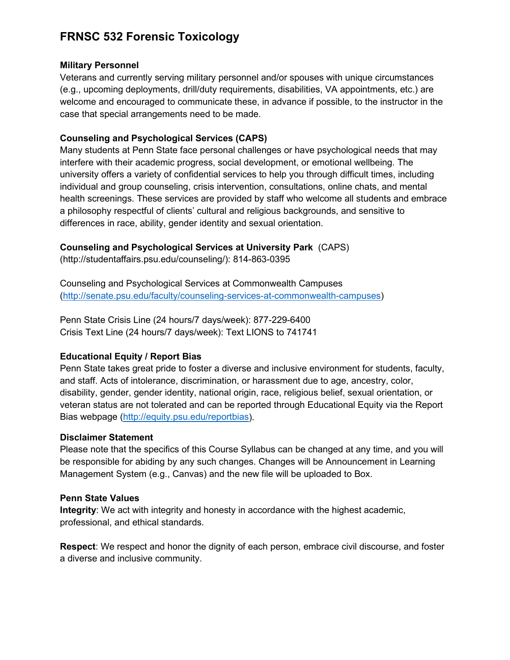#### **Military Personnel**

Veterans and currently serving military personnel and/or spouses with unique circumstances (e.g., upcoming deployments, drill/duty requirements, disabilities, VA appointments, etc.) are welcome and encouraged to communicate these, in advance if possible, to the instructor in the case that special arrangements need to be made.

## **Counseling and Psychological Services (CAPS)**

Many students at Penn State face personal challenges or have psychological needs that may interfere with their academic progress, social development, or emotional wellbeing. The university offers a variety of confidential services to help you through difficult times, including individual and group counseling, crisis intervention, consultations, online chats, and mental health screenings. These services are provided by staff who welcome all students and embrace a philosophy respectful of clients' cultural and religious backgrounds, and sensitive to differences in race, ability, gender identity and sexual orientation.

## **Counseling and Psychological Services at University Park** (CAPS)

(http://studentaffairs.psu.edu/counseling/): 814-863-0395

Counseling and Psychological Services at Commonwealth Campuses [\(http://senate.psu.edu/faculty/counseling-services-at-commonwealth-campuses\)](http://senate.psu.edu/faculty/counseling-services-at-commonwealth-campuses)

Penn State Crisis Line (24 hours/7 days/week): 877-229-6400 Crisis Text Line (24 hours/7 days/week): Text LIONS to 741741

## **Educational Equity / Report Bias**

Penn State takes great pride to foster a diverse and inclusive environment for students, faculty, and staff. Acts of intolerance, discrimination, or harassment due to age, ancestry, color, disability, gender, gender identity, national origin, race, religious belief, sexual orientation, or veteran status are not tolerated and can be reported through Educational Equity via the Report Bias webpage [\(http://equity.psu.edu/reportbias\)](http://equity.psu.edu/reportbias/).

## **Disclaimer Statement**

Please note that the specifics of this Course Syllabus can be changed at any time, and you will be responsible for abiding by any such changes. Changes will be Announcement in Learning Management System (e.g., Canvas) and the new file will be uploaded to Box.

#### **Penn State Values**

**Integrity**: We act with integrity and honesty in accordance with the highest academic, professional, and ethical standards.

**Respect**: We respect and honor the dignity of each person, embrace civil discourse, and foster a diverse and inclusive community.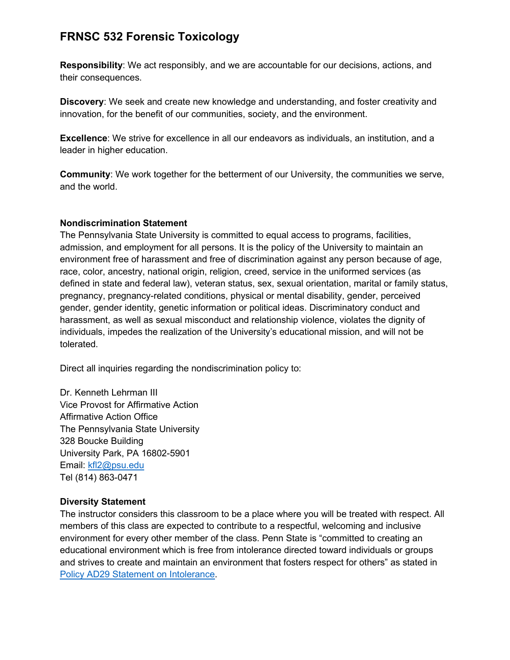**Responsibility**: We act responsibly, and we are accountable for our decisions, actions, and their consequences.

**Discovery**: We seek and create new knowledge and understanding, and foster creativity and innovation, for the benefit of our communities, society, and the environment.

**Excellence**: We strive for excellence in all our endeavors as individuals, an institution, and a leader in higher education.

**Community**: We work together for the betterment of our University, the communities we serve, and the world.

#### **Nondiscrimination Statement**

The Pennsylvania State University is committed to equal access to programs, facilities, admission, and employment for all persons. It is the policy of the University to maintain an environment free of harassment and free of discrimination against any person because of age, race, color, ancestry, national origin, religion, creed, service in the uniformed services (as defined in state and federal law), veteran status, sex, sexual orientation, marital or family status, pregnancy, pregnancy-related conditions, physical or mental disability, gender, perceived gender, gender identity, genetic information or political ideas. Discriminatory conduct and harassment, as well as sexual misconduct and relationship violence, violates the dignity of individuals, impedes the realization of the University's educational mission, and will not be tolerated.

Direct all inquiries regarding the nondiscrimination policy to:

Dr. Kenneth Lehrman III Vice Provost for Affirmative Action Affirmative Action Office The Pennsylvania State University 328 Boucke Building University Park, PA 16802-5901 Email: [kfl2@psu.edu](mailto:kfl2@psu.edu) Tel (814) 863-0471

#### **Diversity Statement**

The instructor considers this classroom to be a place where you will be treated with respect. All members of this class are expected to contribute to a respectful, welcoming and inclusive environment for every other member of the class. Penn State is "committed to creating an educational environment which is free from intolerance directed toward individuals or groups and strives to create and maintain an environment that fosters respect for others" as stated in [Policy AD29 Statement on Intolerance.](http://guru.psu.edu/policies/AD29.html)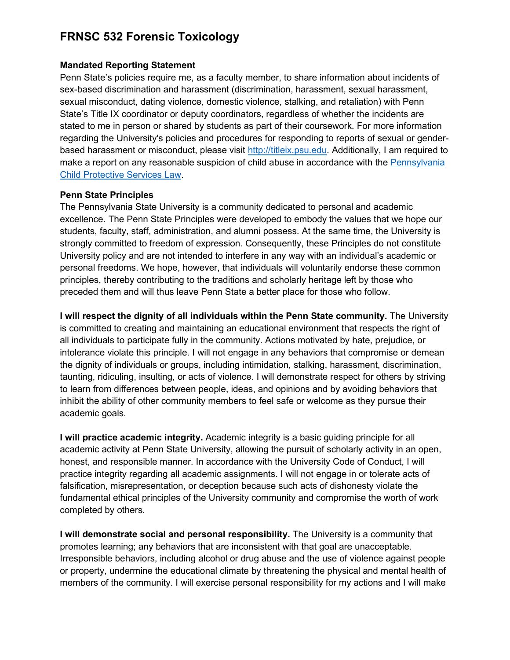#### **Mandated Reporting Statement**

Penn State's policies require me, as a faculty member, to share information about incidents of sex-based discrimination and harassment (discrimination, harassment, sexual harassment, sexual misconduct, dating violence, domestic violence, stalking, and retaliation) with Penn State's Title IX coordinator or deputy coordinators, regardless of whether the incidents are stated to me in person or shared by students as part of their coursework. For more information regarding the University's policies and procedures for responding to reports of sexual or genderbased harassment or misconduct, please visit [http://titleix.psu.edu.](http://titleix.psu.edu/) Additionally, I am required to make a report on any reasonable suspicion of child abuse in accordance with the [Pennsylvania](http://www.legis.state.pa.us/WU01/LI/LI/CT/HTM/23/00.063..HTM)  [Child Protective Services Law.](http://www.legis.state.pa.us/WU01/LI/LI/CT/HTM/23/00.063..HTM)

#### **Penn State Principles**

The Pennsylvania State University is a community dedicated to personal and academic excellence. The Penn State Principles were developed to embody the values that we hope our students, faculty, staff, administration, and alumni possess. At the same time, the University is strongly committed to freedom of expression. Consequently, these Principles do not constitute University policy and are not intended to interfere in any way with an individual's academic or personal freedoms. We hope, however, that individuals will voluntarily endorse these common principles, thereby contributing to the traditions and scholarly heritage left by those who preceded them and will thus leave Penn State a better place for those who follow.

**I will respect the dignity of all individuals within the Penn State community.** The University is committed to creating and maintaining an educational environment that respects the right of all individuals to participate fully in the community. Actions motivated by hate, prejudice, or intolerance violate this principle. I will not engage in any behaviors that compromise or demean the dignity of individuals or groups, including intimidation, stalking, harassment, discrimination, taunting, ridiculing, insulting, or acts of violence. I will demonstrate respect for others by striving to learn from differences between people, ideas, and opinions and by avoiding behaviors that inhibit the ability of other community members to feel safe or welcome as they pursue their academic goals.

**I will practice academic integrity.** Academic integrity is a basic guiding principle for all academic activity at Penn State University, allowing the pursuit of scholarly activity in an open, honest, and responsible manner. In accordance with the University Code of Conduct, I will practice integrity regarding all academic assignments. I will not engage in or tolerate acts of falsification, misrepresentation, or deception because such acts of dishonesty violate the fundamental ethical principles of the University community and compromise the worth of work completed by others.

**I will demonstrate social and personal responsibility.** The University is a community that promotes learning; any behaviors that are inconsistent with that goal are unacceptable. Irresponsible behaviors, including alcohol or drug abuse and the use of violence against people or property, undermine the educational climate by threatening the physical and mental health of members of the community. I will exercise personal responsibility for my actions and I will make